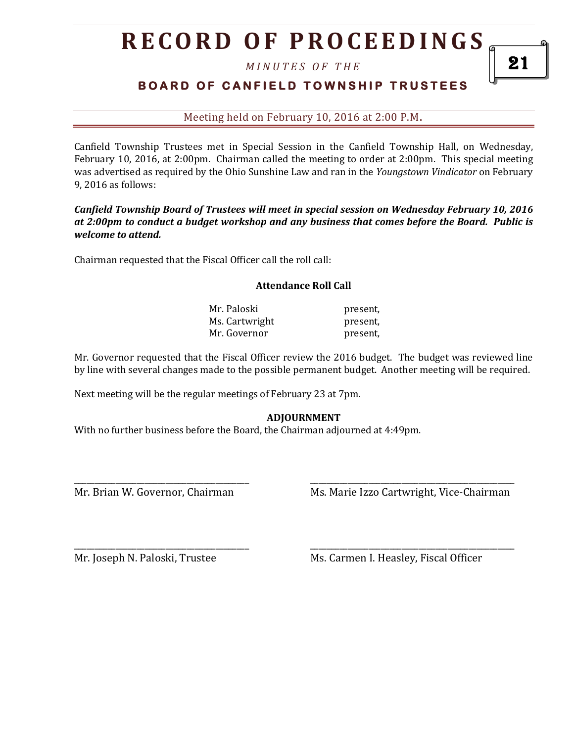# **R E C O R D O F P R O C E E D I N GS**

*M I N U T E S O F T H E* 

## **BOARD OF CANFIELD TOWNSHIP TRUSTEES**

Meeting held on February 10, 2016 at 2:00 P.M**.**

Canfield Township Trustees met in Special Session in the Canfield Township Hall, on Wednesday, February 10, 2016, at 2:00pm. Chairman called the meeting to order at 2:00pm. This special meeting was advertised as required by the Ohio Sunshine Law and ran in the *Youngstown Vindicator* on February 9, 2016 as follows:

### *Canfield Township Board of Trustees will meet in special session on Wednesday February 10, 2016 at 2:00pm to conduct a budget workshop and any business that comes before the Board. Public is welcome to attend.*

Chairman requested that the Fiscal Officer call the roll call:

#### **Attendance Roll Call**

Mr. Paloski present, Ms. Cartwright present, Mr. Governor **present**,

Mr. Governor requested that the Fiscal Officer review the 2016 budget. The budget was reviewed line by line with several changes made to the possible permanent budget. Another meeting will be required.

Next meeting will be the regular meetings of February 23 at 7pm.

### **ADJOURNMENT**

\_\_\_\_\_\_\_\_\_\_\_\_\_\_\_\_\_\_\_\_\_\_\_\_\_\_\_\_\_\_\_\_\_\_\_\_\_\_\_\_\_\_ \_\_\_\_\_\_\_\_\_\_\_\_\_\_\_\_\_\_\_\_\_\_\_\_\_\_\_\_\_\_\_\_\_\_\_\_\_\_\_\_\_\_\_\_\_\_\_\_\_

\_\_\_\_\_\_\_\_\_\_\_\_\_\_\_\_\_\_\_\_\_\_\_\_\_\_\_\_\_\_\_\_\_\_\_\_\_\_\_\_\_\_ \_\_\_\_\_\_\_\_\_\_\_\_\_\_\_\_\_\_\_\_\_\_\_\_\_\_\_\_\_\_\_\_\_\_\_\_\_\_\_\_\_\_\_\_\_\_\_\_\_

With no further business before the Board, the Chairman adjourned at 4:49pm.

Mr. Brian W. Governor, Chairman Ms. Marie Izzo Cartwright, Vice-Chairman

Mr. Joseph N. Paloski, Trustee Ms. Carmen I. Heasley, Fiscal Officer

21